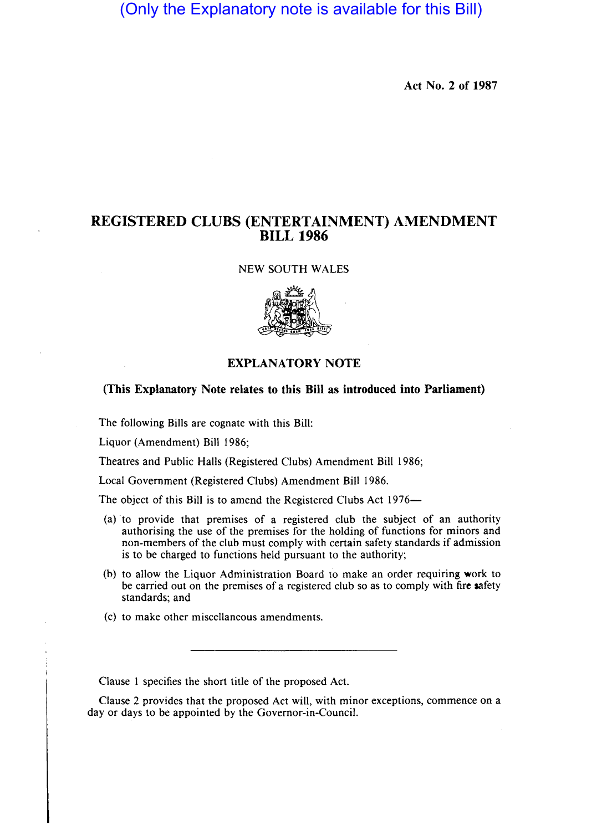(Only the Explanatory note is available for this Bill)

Act No. 2 of 1987

## REGISTERED CLUBS (ENTERTAINMENT) AMENDMENT BILL 1986

NEW SOUTH WALES



## EXPLANATORY NOTE

(This Explanatory Note relates to this Bill as introduced into Parliament)

The following Bills are cognate with this Bill:

Liquor (Amendment) Bill 1986;

Theatres and Public Halls (Registered Clubs) Amendment Bill 1986;

Local Government (Registered Clubs) Amendment Bill 1986.

The object of this Bill is to amend the Registered Clubs Act 1976—

- (a) "to provide that premises of a registered club the subject of an authority authorising the use of the premises for the holding of functions for minors and non-members of the club must comply with certain safety standards if admission is to be charged to functions held pursuant to the authority;
- (b) to allow the Liquor Administration Board to make an order requiring work to be carried out on the premises of a registered club so as to comply with fire safety standards; and
- (c) to make other miscellaneous amendments.

Clause I specifies the short title of the proposed Act.

Clause 2 provides that the proposed Act will, with minor exceptions, commence on a day or days to be appointed by the Governor-in-Council.